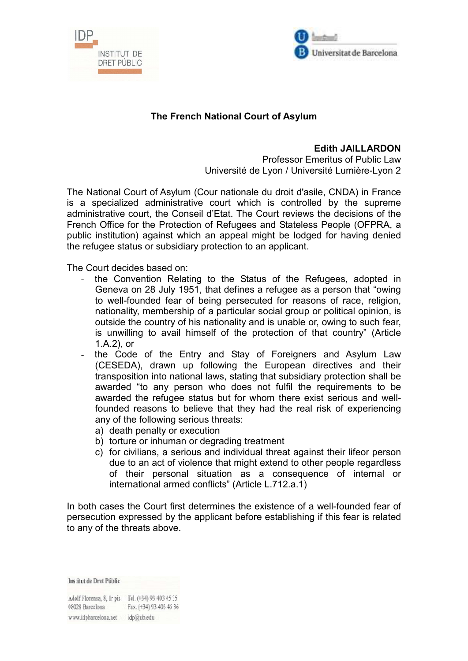



## **The French National Court of Asylum**

## **Edith JAILLARDON**

Professor Emeritus of Public Law Université de Lyon / Université Lumière-Lyon 2

The National Court of Asylum (Cour nationale du droit d'asile, CNDA) in France is a specialized administrative court which is controlled by the supreme administrative court, the Conseil d'Etat. The Court reviews the decisions of the French Office for the Protection of Refugees and Stateless People (OFPRA, a public institution) against which an appeal might be lodged for having denied the refugee status or subsidiary protection to an applicant.

The Court decides based on:

- the Convention Relating to the Status of the Refugees, adopted in Geneva on 28 July 1951, that defines a refugee as a person that "owing to well-founded fear of being persecuted for reasons of race, religion, nationality, membership of a particular social group or political opinion, is outside the country of his nationality and is unable or, owing to such fear, is unwilling to avail himself of the protection of that country" (Article 1.A.2), or
- the Code of the Entry and Stay of Foreigners and Asylum Law (CESEDA), drawn up following the European directives and their transposition into national laws, stating that subsidiary protection shall be awarded "to any person who does not fulfil the requirements to be awarded the refugee status but for whom there exist serious and wellfounded reasons to believe that they had the real risk of experiencing any of the following serious threats:
	- a) death penalty or execution
	- b) torture or inhuman or degrading treatment
	- c) for civilians, a serious and individual threat against their lifeor person due to an act of violence that might extend to other people regardless of their personal situation as a consequence of internal or international armed conflicts" (Article L.712.a.1)

In both cases the Court first determines the existence of a well-founded fear of persecution expressed by the applicant before establishing if this fear is related to any of the threats above.

**Institut de Dret Públic** 

Adolf Florensa, 8, Ir pis Tel. (+34) 93 403 45 35 08028 Barcelona Fax. (+34) 93 403 45 36 www.idpbarcelona.net idp@ub.edu